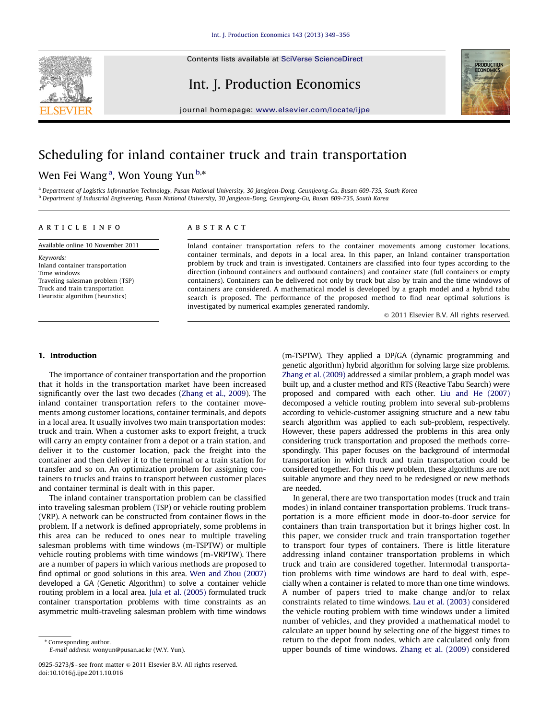Contents lists available at [SciVerse ScienceDirect](www.elsevier.com/locate/ijpe)



## Int. J. Production Economics



journal homepage: <www.elsevier.com/locate/ijpe>

# Scheduling for inland container truck and train transportation

### Wen Fei Wang<sup>a</sup>, Won Young Yun<sup>b,</sup>\*

a Department of Logistics Information Technology, Pusan National University, 30 Jangjeon-Dong, Geumjeong-Gu, Busan 609-735, South Korea <sup>b</sup> Department of Industrial Engineering, Pusan National University, 30 Jangjeon-Dong, Geumjeong-Gu, Busan 609-735, South Korea

#### article info

Available online 10 November 2011 Keywords: Inland container transportation Time windows Traveling salesman problem (TSP) Truck and train transportation Heuristic algorithm (heuristics)

#### ABSTRACT

Inland container transportation refers to the container movements among customer locations, container terminals, and depots in a local area. In this paper, an Inland container transportation problem by truck and train is investigated. Containers are classified into four types according to the direction (inbound containers and outbound containers) and container state (full containers or empty containers). Containers can be delivered not only by truck but also by train and the time windows of containers are considered. A mathematical model is developed by a graph model and a hybrid tabu search is proposed. The performance of the proposed method to find near optimal solutions is investigated by numerical examples generated randomly.

 $@$  2011 Elsevier B.V. All rights reserved.

#### 1. Introduction

The importance of container transportation and the proportion that it holds in the transportation market have been increased significantly over the last two decades ([Zhang et al., 2009](#page--1-0)). The inland container transportation refers to the container movements among customer locations, container terminals, and depots in a local area. It usually involves two main transportation modes: truck and train. When a customer asks to export freight, a truck will carry an empty container from a depot or a train station, and deliver it to the customer location, pack the freight into the container and then deliver it to the terminal or a train station for transfer and so on. An optimization problem for assigning containers to trucks and trains to transport between customer places and container terminal is dealt with in this paper.

The inland container transportation problem can be classified into traveling salesman problem (TSP) or vehicle routing problem (VRP). A network can be constructed from container flows in the problem. If a network is defined appropriately, some problems in this area can be reduced to ones near to multiple traveling salesman problems with time windows (m-TSPTW) or multiple vehicle routing problems with time windows (m-VRPTW). There are a number of papers in which various methods are proposed to find optimal or good solutions in this area. [Wen and Zhou \(2007\)](#page--1-0) developed a GA (Genetic Algorithm) to solve a container vehicle routing problem in a local area. [Jula et al. \(2005\)](#page--1-0) formulated truck container transportation problems with time constraints as an asymmetric multi-traveling salesman problem with time windows (m-TSPTW). They applied a DP/GA (dynamic programming and genetic algorithm) hybrid algorithm for solving large size problems. [Zhang et al. \(2009\)](#page--1-0) addressed a similar problem, a graph model was built up, and a cluster method and RTS (Reactive Tabu Search) were proposed and compared with each other. [Liu and He \(2007\)](#page--1-0) decomposed a vehicle routing problem into several sub-problems according to vehicle-customer assigning structure and a new tabu search algorithm was applied to each sub-problem, respectively. However, these papers addressed the problems in this area only considering truck transportation and proposed the methods correspondingly. This paper focuses on the background of intermodal transportation in which truck and train transportation could be considered together. For this new problem, these algorithms are not suitable anymore and they need to be redesigned or new methods are needed.

In general, there are two transportation modes (truck and train modes) in inland container transportation problems. Truck transportation is a more efficient mode in door-to-door service for containers than train transportation but it brings higher cost. In this paper, we consider truck and train transportation together to transport four types of containers. There is little literature addressing inland container transportation problems in which truck and train are considered together. Intermodal transportation problems with time windows are hard to deal with, especially when a container is related to more than one time windows. A number of papers tried to make change and/or to relax constraints related to time windows. [Lau et al. \(2003\)](#page--1-0) considered the vehicle routing problem with time windows under a limited number of vehicles, and they provided a mathematical model to calculate an upper bound by selecting one of the biggest times to return to the depot from nodes, which are calculated only from upper bounds of time windows. [Zhang et al. \(2009\)](#page--1-0) considered

<sup>\*</sup> Corresponding author. E-mail address: [wonyun@pusan.ac.kr \(W.Y. Yun\).](mailto:wonyun@pusan.ac.kr)

<sup>0925-5273/\$ -</sup> see front matter  $\circ$  2011 Elsevier B.V. All rights reserved. doi:[10.1016/j.ijpe.2011.10.016](dx.doi.org/10.1016/j.ijpe.2011.10.016)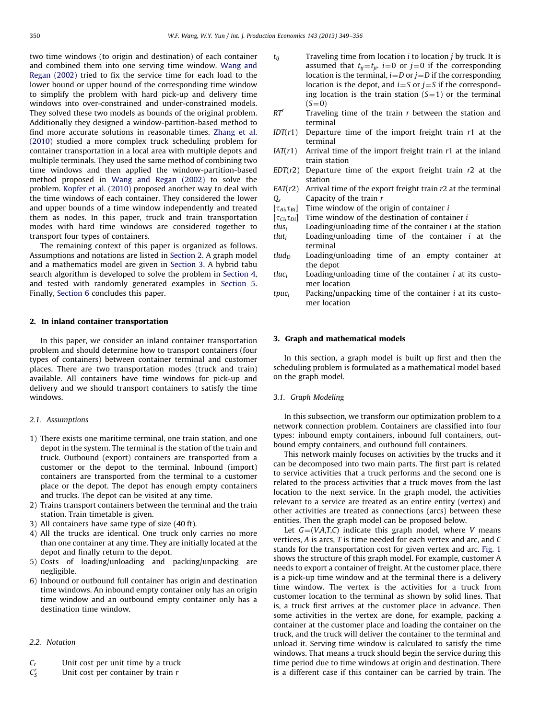two time windows (to origin and destination) of each container and combined them into one serving time window. [Wang and](#page--1-0) [Regan \(2002\)](#page--1-0) tried to fix the service time for each load to the lower bound or upper bound of the corresponding time window to simplify the problem with hard pick-up and delivery time windows into over-constrained and under-constrained models. They solved these two models as bounds of the original problem. Additionally they designed a window-partition-based method to find more accurate solutions in reasonable times. [Zhang et al.](#page--1-0) [\(2010\)](#page--1-0) studied a more complex truck scheduling problem for container transportation in a local area with multiple depots and multiple terminals. They used the same method of combining two time windows and then applied the window-partition-based method proposed in [Wang and Regan \(2002\)](#page--1-0) to solve the problem. [Kopfer et al. \(2010\)](#page--1-0) proposed another way to deal with the time windows of each container. They considered the lower and upper bounds of a time window independently and treated them as nodes. In this paper, truck and train transportation modes with hard time windows are considered together to transport four types of containers.

The remaining context of this paper is organized as follows. Assumptions and notations are listed in Section 2. A graph model and a mathematics model are given in Section 3. A hybrid tabu search algorithm is developed to solve the problem in [Section 4,](#page--1-0) and tested with randomly generated examples in [Section 5.](#page--1-0) Finally, [Section 6](#page--1-0) concludes this paper.

#### 2. In inland container transportation

In this paper, we consider an inland container transportation problem and should determine how to transport containers (four types of containers) between container terminal and customer places. There are two transportation modes (truck and train) available. All containers have time windows for pick-up and delivery and we should transport containers to satisfy the time windows.

#### 2.1. Assumptions

- 1) There exists one maritime terminal, one train station, and one depot in the system. The terminal is the station of the train and truck. Outbound (export) containers are transported from a customer or the depot to the terminal. Inbound (import) containers are transported from the terminal to a customer place or the depot. The depot has enough empty containers and trucks. The depot can be visited at any time.
- 2) Trains transport containers between the terminal and the train station. Train timetable is given.
- 3) All containers have same type of size (40 ft).
- 4) All the trucks are identical. One truck only carries no more than one container at any time. They are initially located at the depot and finally return to the depot.
- 5) Costs of loading/unloading and packing/unpacking are negligible.
- 6) Inbound or outbound full container has origin and destination time windows. An inbound empty container only has an origin time window and an outbound empty container only has a destination time window.

#### 2.2. Notation

 $C_t$  Unit cost per unit time by a truck  $C^r_{\varsigma}$ 

- $t_{ij}$  Traveling time from location *i* to location *j* by truck. It is assumed that  $t_{ij}=t_{ji}$ .  $i=0$  or  $j=0$  if the corresponding location is the terminal,  $i=D$  or  $j=D$  if the corresponding location is the depot, and  $i = S$  or  $j = S$  if the corresponding location is the train station  $(S=1)$  or the terminal  $(S=0)$ 
	- $RT^r$  Traveling time of the train r between the station and terminal
	- $IDT(r1)$  Departure time of the import freight train  $r1$  at the terminal
	- $IAT(r1)$  Arrival time of the import freight train  $r1$  at the inland train station
	- $EDT(r2)$  Departure time of the export freight train  $r2$  at the station
	- $EAT(r2)$  Arrival time of the export freight train  $r2$  at the terminal  $Q_r$  Capacity of the train r
	- $[\tau_{Ai}, \tau_{Bi}]$  Time window of the origin of container *i*
	- $[\tau_{Ci},\tau_{Di}]$  Time window of the destination of container *i*
	- $t$ lus<sub>i</sub> Loading/unloading time of the container *i* at the station  $tlut_i$  Loading/unloading time of the container i at the terminal
	- $t l u d<sub>D</sub>$  Loading/unloading time of an empty container at the depot
	- $tluc<sub>i</sub>$  Loading/unloading time of the container *i* at its customer location
	- $tpuc_i$  Packing/unpacking time of the container *i* at its customer location

#### 3. Graph and mathematical models

In this section, a graph model is built up first and then the scheduling problem is formulated as a mathematical model based on the graph model.

#### 3.1. Graph Modeling

In this subsection, we transform our optimization problem to a network connection problem. Containers are classified into four types: inbound empty containers, inbound full containers, outbound empty containers, and outbound full containers.

This network mainly focuses on activities by the trucks and it can be decomposed into two main parts. The first part is related to service activities that a truck performs and the second one is related to the process activities that a truck moves from the last location to the next service. In the graph model, the activities relevant to a service are treated as an entire entity (vertex) and other activities are treated as connections (arcs) between these entities. Then the graph model can be proposed below.

Let  $G=(V,A,T,C)$  indicate this graph model, where V means vertices, A is arcs, T is time needed for each vertex and arc, and C stands for the transportation cost for given vertex and arc. [Fig. 1](#page--1-0) shows the structure of this graph model. For example, customer A needs to export a container of freight. At the customer place, there is a pick-up time window and at the terminal there is a delivery time window. The vertex is the activities for a truck from customer location to the terminal as shown by solid lines. That is, a truck first arrives at the customer place in advance. Then some activities in the vertex are done, for example, packing a container at the customer place and loading the container on the truck, and the truck will deliver the container to the terminal and unload it. Serving time window is calculated to satisfy the time windows. That means a truck should begin the service during this time period due to time windows at origin and destination. There is a different case if this container can be carried by train. The

Unit cost per container by train  $r$